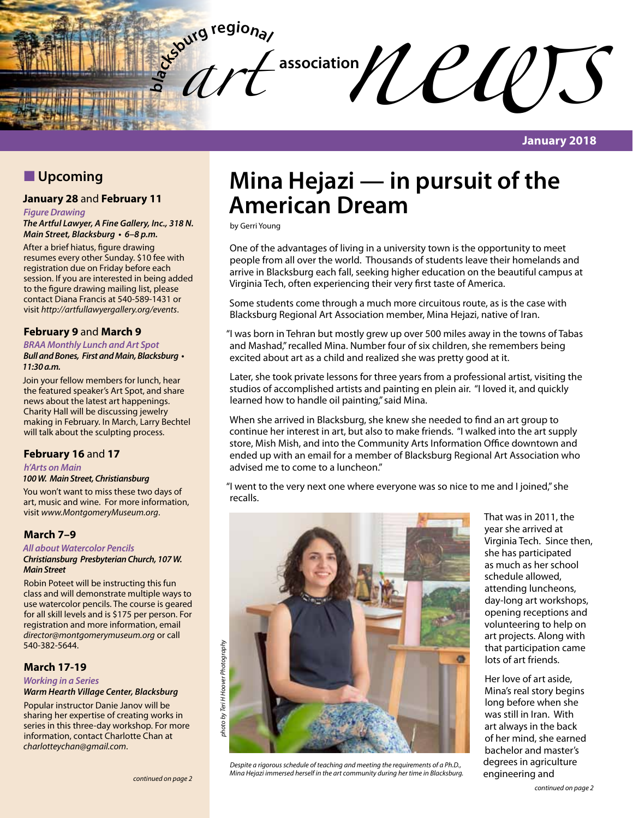

## **N** Upcoming

## **January 28** and **February 11**

#### *Figure Drawing*

#### *The Artful Lawyer, A Fine Gallery, Inc., 318 N.*  **Main Street, Blacksburg • 6–8 p.m.**

After a brief hiatus, figure drawing resumes every other Sunday. \$10 fee with registration due on Friday before each session. If you are interested in being added to the figure drawing mailing list, please contact Diana Francis at 540-589-1431 or visit *http://artfullawyergallery.org/events*.

#### **February 9** and **March 9**

#### **BRAA Monthly Lunch and Art Spot**

#### **Bull and Bones, First and Main, Blacksburg • 11:30 a.m.**

Join your fellow members for lunch, hear the featured speaker's Art Spot, and share news about the latest art happenings. Charity Hall will be discussing jewelry making in February. In March, Larry Bechtel will talk about the sculpting process.

### **February 16** and **17**

#### *h'Arts on Main*

#### *100 W. Main Street, Christiansburg*

You won't want to miss these two days of art, music and wine. For more information, visit *www.MontgomeryMuseum.org*.

#### **March 7–9**

#### *All about Watercolor Pencils*

#### *Christiansburg Presbyterian Church, 107 W. Main Street*

Robin Poteet will be instructing this fun class and will demonstrate multiple ways to use watercolor pencils. The course is geared for all skill levels and is \$175 per person. For registration and more information, email *director@montgomerymuseum.org* or call 540-382-5644.

### **March 17-19**

*Working in a Series* **Warm Hearth Village Center, Blacksburg**

Popular instructor Danie Janov will be sharing her expertise of creating works in series in this three-day workshop. For more information, contact Charlotte Chan at *charlotteychan@gmail.com*.

# **Mina Hejazi — in pursuit of the American Dream**

by Gerri Young

One of the advantages of living in a university town is the opportunity to meet people from all over the world. Thousands of students leave their homelands and arrive in Blacksburg each fall, seeking higher education on the beautiful campus at Virginia Tech, often experiencing their very first taste of America.

Some students come through a much more circuitous route, as is the case with Blacksburg Regional Art Association member, Mina Hejazi, native of Iran.

"I was born in Tehran but mostly grew up over 500 miles away in the towns of Tabas and Mashad," recalled Mina. Number four of six children, she remembers being excited about art as a child and realized she was pretty good at it.

Later, she took private lessons for three years from a professional artist, visiting the studios of accomplished artists and painting en plein air. "I loved it, and quickly learned how to handle oil painting," said Mina.

When she arrived in Blacksburg, she knew she needed to find an art group to continue her interest in art, but also to make friends. "I walked into the art supply store, Mish Mish, and into the Community Arts Information Office downtown and ended up with an email for a member of Blacksburg Regional Art Association who advised me to come to a luncheon."

"I went to the very next one where everyone was so nice to me and I joined," she recalls.



Despite a rigorous schedule of teaching and meeting the requirements of a Ph.D., **charaGamerical conductivation** Mina Hejazi immersed herself in the art community during her time in Blacksburg. **Pappineering and** 

That was in 2011, the year she arrived at Virginia Tech. Since then, she has participated as much as her school schedule allowed, attending luncheons, day-long art workshops, opening receptions and volunteering to help on art projects. Along with that participation came lots of art friends.

Her love of art aside, Mina's real story begins long before when she was still in Iran. With art always in the back of her mind, she earned bachelor and master's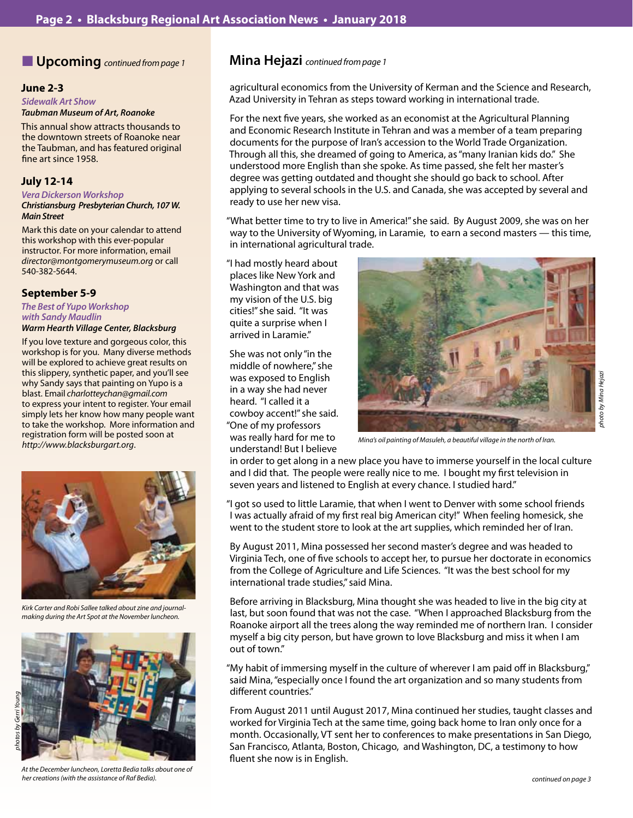## n **Upcoming** *continued from page 1* **Mina Hejazi** *continued from page 1*

#### **June 2-3**

*Sidewalk Art Show* **Taubman Museum of Art, Roanoke**

This annual show attracts thousands to the downtown streets of Roanoke near the Taubman, and has featured original fine art since 1958.

#### **July 12-14**

#### **Vera Dickerson Workshop**

#### *Christiansburg Presbyterian Church, 107 W. Main Street*

Mark this date on your calendar to attend this workshop with this ever-popular instructor. For more information, email *director@montgomerymuseum.org* or call 540-382-5644.

#### **September 5-9**

## **The Best of Yupo Workshop**  *with Sandy Maudlin*

### **Warm Hearth Village Center, Blacksburg**

If you love texture and gorgeous color, this workshop is for you. Many diverse methods will be explored to achieve great results on this slippery, synthetic paper, and you'll see why Sandy says that painting on Yupo is a blast. Email *charlotteychan@gmail.com* to express your intent to register. Your email simply lets her know how many people want to take the workshop. More information and registration form will be posted soon at *http://www.blacksburgart.org*.



*Kirk Carter and Robi Sallee talked about zine and journalmaking during the Art Spot at the November luncheon.*



*At the December luncheon, Loretta Bedia talks about one of her creations (with the assistance of Raf Bedia).*

agricultural economics from the University of Kerman and the Science and Research, Azad University in Tehran as steps toward working in international trade.

For the next five years, she worked as an economist at the Agricultural Planning and Economic Research Institute in Tehran and was a member of a team preparing documents for the purpose of Iran's accession to the World Trade Organization. Through all this, she dreamed of going to America, as "many Iranian kids do." She understood more English than she spoke. As time passed, she felt her master's degree was getting outdated and thought she should go back to school. After applying to several schools in the U.S. and Canada, she was accepted by several and ready to use her new visa.

"What better time to try to live in America!" she said. By August 2009, she was on her way to the University of Wyoming, in Laramie, to earn a second masters — this time, in international agricultural trade.

"I had mostly heard about places like New York and Washington and that was my vision of the U.S. big cities!" she said. "It was quite a surprise when I arrived in Laramie."

She was not only "in the middle of nowhere," she was exposed to English in a way she had never heard. "I called it a cowboy accent!" she said. "One of my professors was really hard for me to understand! But I believe



*photo by Mina Hejazi*

shoto by Mina Hejazı

*Mina's oil painting of Masuleh, a beautiful village in the north of Iran.*

in order to get along in a new place you have to immerse yourself in the local culture and I did that. The people were really nice to me. I bought my first television in seven years and listened to English at every chance. I studied hard."

"I got so used to little Laramie, that when I went to Denver with some school friends I was actually afraid of my first real big American city!" When feeling homesick, she went to the student store to look at the art supplies, which reminded her of Iran.

By August 2011, Mina possessed her second master's degree and was headed to Virginia Tech, one of five schools to accept her, to pursue her doctorate in economics from the College of Agriculture and Life Sciences. "It was the best school for my international trade studies," said Mina.

Before arriving in Blacksburg, Mina thought she was headed to live in the big city at last, but soon found that was not the case. "When I approached Blacksburg from the Roanoke airport all the trees along the way reminded me of northern Iran. I consider myself a big city person, but have grown to love Blacksburg and miss it when I am out of town."

"My habit of immersing myself in the culture of wherever I am paid off in Blacksburg," said Mina, "especially once I found the art organization and so many students from different countries."

From August 2011 until August 2017, Mina continued her studies, taught classes and worked for Virginia Tech at the same time, going back home to Iran only once for a month. Occasionally, VT sent her to conferences to make presentations in San Diego, San Francisco, Atlanta, Boston, Chicago, and Washington, DC, a testimony to how fluent she now is in English.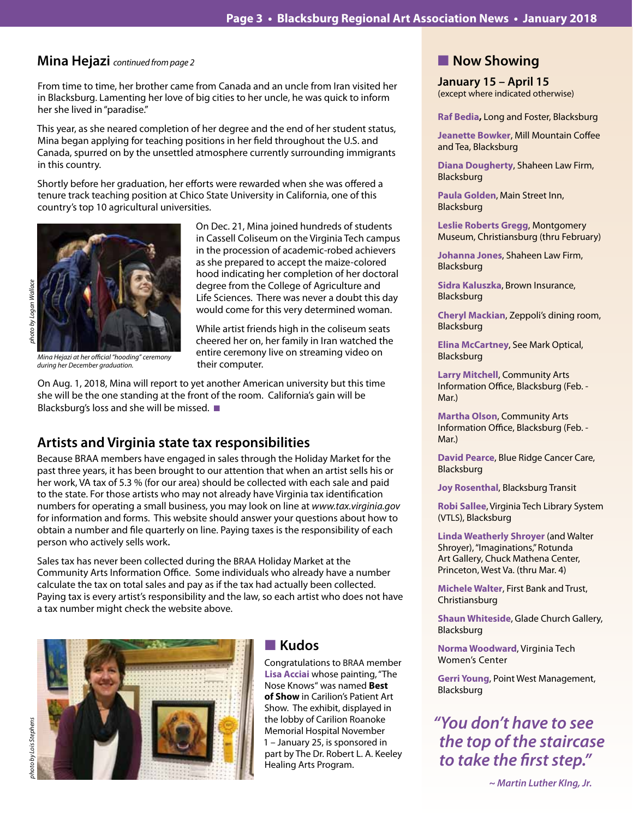## **Mina Hejazi** *continued from page 2*

From time to time, her brother came from Canada and an uncle from Iran visited her in Blacksburg. Lamenting her love of big cities to her uncle, he was quick to inform her she lived in "paradise."

This year, as she neared completion of her degree and the end of her student status, Mina began applying for teaching positions in her field throughout the U.S. and Canada, spurred on by the unsettled atmosphere currently surrounding immigrants in this country.

Shortly before her graduation, her efforts were rewarded when she was offered a tenure track teaching position at Chico State University in California, one of this country's top 10 agricultural universities.



*Mina Hejazi at her official "hooding" ceremony* 

On Dec. 21, Mina joined hundreds of students in Cassell Coliseum on the Virginia Tech campus in the procession of academic-robed achievers as she prepared to accept the maize-colored hood indicating her completion of her doctoral degree from the College of Agriculture and Life Sciences. There was never a doubt this day would come for this very determined woman.

While artist friends high in the coliseum seats cheered her on, her family in Iran watched the entire ceremony live on streaming video on their computer. *during her December graduation.* 

On Aug. 1, 2018, Mina will report to yet another American university but this time she will be the one standing at the front of the room. California's gain will be Blacksburg's loss and she will be missed.  $\blacksquare$ 

## **Artists and Virginia state tax responsibilities**

Because BRAA members have engaged in sales through the Holiday Market for the past three years, it has been brought to our attention that when an artist sells his or her work, VA tax of 5.3 % (for our area) should be collected with each sale and paid to the state. For those artists who may not already have Virginia tax identification numbers for operating a small business, you may look on line at *www.tax.virginia.gov*  for information and forms. This website should answer your questions about how to obtain a number and file quarterly on line. Paying taxes is the responsibility of each person who actively sells work.

Sales tax has never been collected during the BRAA Holiday Market at the Community Arts Information Office. Some individuals who already have a number calculate the tax on total sales and pay as if the tax had actually been collected. Paying tax is every artist's responsibility and the law, so each artist who does not have a tax number might check the website above.



## **n** Kudos

Congratulations to BRAA member **Lisa Acciai** whose painting, "The Nose Knows" was named **Best of Show** in Carilion's Patient Art Show. The exhibit, displayed in the lobby of Carilion Roanoke Memorial Hospital November 1 – January 25, is sponsored in part by The Dr. Robert L. A. Keeley Healing Arts Program.

## **Now Showing**

**January 15 – April 15** (except where indicated otherwise)

**Raf Bedia,** Long and Foster, Blacksburg

**Jeanette Bowker**, Mill Mountain Coffee and Tea, Blacksburg

**Diana Dougherty**, Shaheen Law Firm, Blacksburg

**Paula Golden**, Main Street Inn, Blacksburg

**Leslie Roberts Gregg**, Montgomery Museum, Christiansburg (thru February)

**Johanna Jones**, Shaheen Law Firm, Blacksburg

**Sidra Kaluszka**, Brown Insurance, Blacksburg

**Cheryl Mackian**, Zeppoli's dining room, Blacksburg

**Elina McCartney**, See Mark Optical, Blacksburg

**Larry Mitchell**, Community Arts Information Office, Blacksburg (Feb. - Mar.)

**Martha Olson**, Community Arts Information Office, Blacksburg (Feb. - Mar.)

**David Pearce**, Blue Ridge Cancer Care, Blacksburg

**Joy Rosenthal**, Blacksburg Transit

**Robi Sallee**, Virginia Tech Library System (VTLS), Blacksburg

**Linda Weatherly Shroyer** (and Walter Shroyer), "Imaginations," Rotunda Art Gallery, Chuck Mathena Center, Princeton, West Va. (thru Mar. 4)

**Michele Walter**, First Bank and Trust, Christiansburg

**Shaun Whiteside**, Glade Church Gallery, Blacksburg

**Norma Woodward**, Virginia Tech Women's Center

**Gerri Young**, Point West Management, Blacksburg

*"You don't have to see*  **the top of the staircase to take the first step."**

 *~ Martin Luther KIng, Jr.*